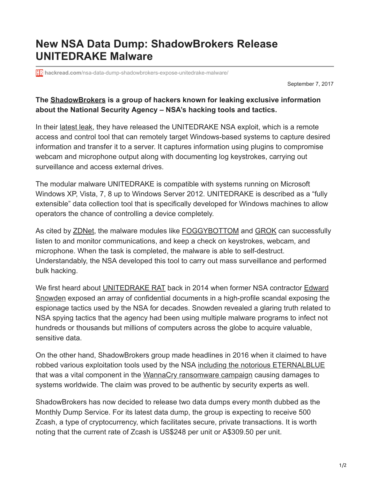## **New NSA Data Dump: ShadowBrokers Release UNITEDRAKE Malware**

**hackread.com**[/nsa-data-dump-shadowbrokers-expose-unitedrake-malware/](https://www.hackread.com/nsa-data-dump-shadowbrokers-expose-unitedrake-malware/)

September 7, 2017

## **The [ShadowBrokers](https://www.hackread.com/?s=Shadow+Brokers) is a group of hackers known for leaking exclusive information about the National Security Agency – NSA's hacking tools and tactics.**

In their [latest leak](https://steemit.com/shadowbrokers/@theshadowbrokers/theshadowbrokers-dump-service-september-2017), they have released the UNITEDRAKE NSA exploit, which is a remote access and control tool that can remotely target Windows-based systems to capture desired information and transfer it to a server. It captures information using plugins to compromise webcam and microphone output along with documenting log keystrokes, carrying out surveillance and access external drives.

The modular malware UNITEDRAKE is compatible with systems running on Microsoft Windows XP, Vista, 7, 8 up to Windows Server 2012. UNITEDRAKE is described as a "fully extensible" data collection tool that is specifically developed for Windows machines to allow operators the chance of controlling a device completely.

As cited by **ZDNet**, the malware modules like **[FOGGYBOTTOM](https://search.edwardsnowden.com/search?codewords_facet=FOGGYBOTTOM)** and **GROK** can successfully listen to and monitor communications, and keep a check on keystrokes, webcam, and microphone. When the task is completed, the malware is able to self-destruct. Understandably, the NSA developed this tool to carry out mass surveillance and performed bulk hacking.

[We first heard about](https://www.hackread.com/tag/Snowden/) [UNITEDRAKE RAT](https://search.edwardsnowden.com/search?codewords_facet=UNITEDRAKE) [back in 2014 when former NSA contractor Edward](https://www.hackread.com/tag/Snowden/) Snowden exposed an array of confidential documents in a high-profile scandal exposing the espionage tactics used by the NSA for decades. Snowden revealed a glaring truth related to NSA spying tactics that the agency had been using multiple malware programs to infect not hundreds or thousands but millions of computers across the globe to acquire valuable, sensitive data.

On the other hand, ShadowBrokers group made headlines in 2016 when it claimed to have robbed various exploitation tools used by the NSA [including the notorious ETERNALBLUE](https://www.hackread.com/leaked-nsa-exploit-eternalblue-used-in-trojan-attacks/) that was a vital component in the [WannaCry ransomware campaign](https://www.hackread.com/tag/WannaCry/) causing damages to systems worldwide. The claim was proved to be authentic by security experts as well.

ShadowBrokers has now decided to release two data dumps every month dubbed as the Monthly Dump Service. For its latest data dump, the group is expecting to receive 500 Zcash, a type of cryptocurrency, which facilitates secure, private transactions. It is worth noting that the current rate of Zcash is US\$248 per unit or A\$309.50 per unit.